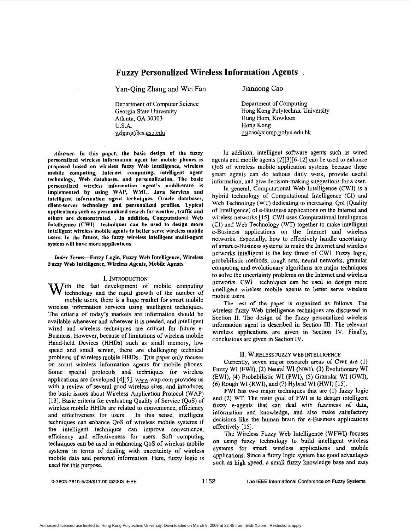# **Fuzzy Personalized Wireless Information Agents**

Yan-Qing Zhang **and** Wei Fan

Department of Computer Science Georgia State University Atlanta, CA **30303**  U.S.A. yzhang@cs.gsu.edu

*Abstract-* In this paper, the basic design of the fuzzy personalized wireless information agent for mobile phones is proposed based on wireless fuzzy Web intelligence, wireless mobile computing, Internet computing, intelligent agent technology, Web databases, and personalization. The basic personalized wireless information agent's middleware is implemented by using WAP, WML, Java Servlets and intelligent information agent techniques, Oracle databases, client-server technology and personalized profiles. Typical applications such as personalized search for weather, traffic and others are demonstrated. . In addition, Computational Web Intelligence (CWI) techniques can be used to design more intelligent wireless mobile agents to better serve wireless mobile users. In the future, the fuzzy wireless intelligent multi-agent system will have more applications

*Index* Terms-Fuzzy Logic, Fuzzy Web Intelligence, Wireless Fuzzy Web Intelligence, Wireless Agents, Mobile Agents.

#### I. INTRODUCTION

 $W$ ith the fast development of mobile computing technology and the rapid growth of the number of mobile users, there is a huge market for smart mobile wireless information services using intelligent techniques. The criteria of today's markets are information should be available whenever and wherever it is needed, and intelligent wired and wireless techniques are critical for future e-Business. However, because of limitations of wireless mobile Hand-held Devices (HHDs) such as small memory, low speed and small screen, there are challenging technical problems of wireless mobile HHDs. This paper only focuses on smart wireless information agents for mobile phones. Some special protocols and techniques for wireless applications are developed **[4][5].** [www.wao.com](http://www.wao.com) provides **us**  with a review of several good wireless sites, and introduces the basic issues about Wireless Application Protocol (WAP) **[13].** Basic criteria for evaluating Quality of Service (QoS) of wireless mobile HHDs are related to convenience, efficiency and effectiveness for users. In this sense, intelligent techniques can enhance QoS of wireless mobile systems if the intelligent techniques can improve convenience, efficiency and effectiveness for users. Soft computing techniques can be used in enhancing QoS of wireless mobile systems in terms of dealing with uncertainty of wireless mobile data and personal information. Here, fuzzy logic is used for this purpose.

Jiannong Cao

Department of Computing Hang Kong Polytechnic University Hung Hom, Kowloon Hang Kong **csicao@comp.oolvu.edu.hk** 

In addition, intelligent software agents such as wired agents and mobile agents **[2][3][6-121** can be used to enhance *QoS* of wireless mobile application systems because these smart agents can do tedious daily work, provide useful information, and give decision-making suggestions for a user.

In general, Computational Web Intelligence (CWI) is a hybrid technology of Computational Intelligence (CI) and Web Technology (WT) dedicating to increasing QoI (Quality of Intelligence) of e-Business applications on the Internet and wireless networks **[15].** CWI uses Computational Intelligence (CI) and Web Technology (WT) together to make intelligent e-Business applications on the Internet and wireless networks. Especially, how to effectively handle uncertainty of smart e-Business systems to make the Internet and wireless networks intelligent is the key thrust of CWI. Fuzzy logic, probabilistic methods, rough sets, neural networks, granular computing and evolutionary algorithms are major techniques to solve the uncertainty problems on the Intemet and wireless networks. CWI techniques can be used to design more intelligent wireless mobile agents to better serve wireless mobile users.

The rest of the paper is organized as follows. The wireless fuzzy Web intelligence techniques are discussed in Section **11.** The design of the fuzzy personalized wireless information agent is described in Section 111. The relevant wireless applications are given in Section 1V. Finally, conclusions are given in Section IV.

#### **11. WIRELESS FUZZY** WEB INTELLIGENCE

Currently, seven major research areas of CWI are **(I)**  Fuzzy W1 (FWI), (2) Neural WI (NWI), (3) Evolutionary WI (EWI), **(4)** Probabilistic WI (PWI), *(5)* Granular WI (GWI), (6) Rough WI (RWI), and (7) Hybrid WI (HWI) **[15].** 

FWI has two major techniques that are **(1)** fuzzy logic and **(2)** WT. The main goal of FWI is to design intelligent fuzzy e-agents that can deal with fuzziness of data, information and knowledge, and also make satisfactory decisions like the human brain for e-Business applications effectively [15].

The Wireless Fuzzy Web Intelligence (WFWI) focuses on using fuzzy technology to build intelligent wireless systems for smart wireless applications and mobile applications. Since a fuzzy logic system has good advantages such as high speed, a small fuzzy knowledge base and easy

**0-7803-781 0-5/03617.002003 IE EE** 1152 The **IEEE** International Conference on **Fuuy** Systems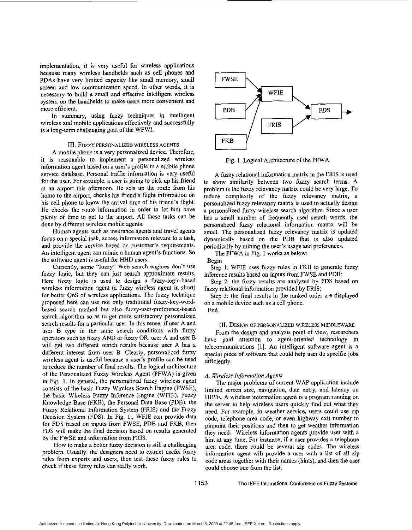implementation, it is very useful for wireless applications because many wireless handhelds such as cell phones and PDAs have very limited capacity like small memory, small screen and low communication speed. In other words, it **is**  necessary to build a small and effective intelligent wireless system on the handhelds to make users more convenient and more efficient.

In summary, using fuzzy techniques in intelligent wireless and mobile applications effectively and successfully is a long-term challenging goal of the WFWI.

## **111.** FUZZY PERSONALIZED WIRELESS AGENTS

**A** mobile phone **is** a very personalized device. Therefore, it is reasonable to implement a personalized wireless information agent based on a user's profile in a mobile phone service database. Personal traffic information is very useful for the user. For example, a user is going to pick up his friend at an airport this afternoon. He sets up the route from his borne to the airport, checks his friend's flight information on his cell phone to know the arrival time of his friend's flight. He checks the route information in order to let him have plenty of time to get to the airport. All these tasks can be done by different wireless mobile agents.

Human agents such as insurance agents and travel agents focus on a special task, access information relevant to a task, and provide the service based on customer's requirements. An intelligent agent can mimic a human agent's functions. So the software agent is useful for HHD users.

Currently, some "fuzzy" Web search engines don't use fuzzy Logic, but they can just search approximate results. Here fuzzy logic is used to design a fuzzy-logic-based wireless information agent (a fuzzy wireless agent in short) for better *QoS* of wireless applications. The fuzzy technique proposed here can use not only traditional fuzzy-key-wordbased search method but also fuzzy-user-preference-based search algorithm so as to get more satisfactory personalized search results for a particular user. In this sense, if user **A** and user B type in the same search conditions with fuzzy operators such as fuzzy AND or fuzzy OR, user A and user B will get two different search results because user **A** has a different interest from user B. Clearly, personalized fuzzy wireless agent **is** useful because a user's profile can be used to reduce the number of final results. The logical architecture of the Personalized Fuzzy Wireless Agent (PFWA) is given in Fig. **1.** In general, the personalized fuzzy wireless agent consists of the basic Fuzzy Wireless Search Engine (FWSE), the basic Wireless Fuzzy Inference Engine (WFIE), Fuzzy Knowledge Base (FKB), the Personal Data Base (PDB), the Fuzzy Relational Information System (FRIS) and the Fuzzy Decision System (FDS). In Fig. l., WFIE can provide data for FDS based on inputs from FWSE, PDB and FKB, then FDS will make the final decision based on results generated by the FWSE and information from FRIS.

How to make a better fuzzy decision is still a challenging problem. Usually, the designers need to extract useful fuzzy rules from experts and users, then test these fuzzy rules to check if these fuzzy rules can really work.



Fig. I. Logical Architecture of the PFWA

A fuzzy relational information matrix in the FRIS is used to show similarity between two fuzzy search terms. **A**  problem is the fuzzy relevancy matrix could be very large. To reduce complexity of the fuzzy relevancy matrix, a personalized fuzzy relevancy matrix is used to actually design a personalized fuzzy wireless search algorithm. Since a user has a small number of frequently used search words, the personalized fuzzy relational information matrix will be small, The personalized fuzzy relevancy matrix is updated dynamically based on the PDB that **is** also updated periodically by mining the user's usage and preferences.

The PFWA in Fig. 1 works as below:

Begin

Step **1:** WFIE **uses** fuzzy rules in FKB to generate fuzzy inference results based on inputs from FWSE and PDB;

Step **2:** the fuzzy results are analyzed by FDS based on fuzzy relational information provided by FRIS;

Step **3:** the final results in the ranked order are displayed on a mobile device such as a cell phone.

End.

## **III. DESIGN OF PERSONALIZED WIRELESS MIDDLEWARE**

From the design and analysis point of view, researchers have paid attention to agent-oriented technology in telecommunications [I]. An intelligent software agent is a special piece of software that could help user do specific jobs efficiently.

#### *A. Wireless Information Agents*

The major problems of current WAP application include limited screen size, navigation, data entry, and latency on HHDs. **A** wireless information agent **is** a program running on the server to help wireless users quickly find out what they need. For example, in weather service, users could use zip code, telephone area code, or even highway exit number to pinpoint their positions and then to get weather information they need. Wireless information agents provide user with a hint at any time. For instance, if a user provides a telephone area code, there could be several zip codes. The wireless information agent will provide a user with **a** list of all zip code areas together with their names (hints), and then the user could choose one from the list.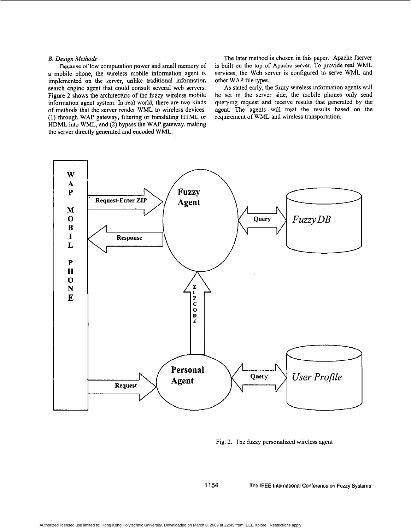# *B. Design Methods*

Because of low computation power and small memory of a mobile phone, the wireless mobile information agent is implemented on the server, unlike traditional information search engine agent that could consult several web servers. Figure **2** shows the architecture of the **fnzzy** wireless mobile information agent system. In real world, there are two kinds of methods that the server render WML to wireless devices: (1) through WAP gateway, filtering or translating HTML **or**  HDML into WML, and (2) bypass the WAP gateway, making the server directly generated and encoded WML.

The later method is chosen in this paper. Apache Jserver is built on the top of Apachc **server.** To provide real WML services, the Web server is configured to serve WML and other WAP file types.

As stated early, the fuzzy wireless information agents will be set in the server side, the mobile phones only send querying request and receive results that generated by the agent. The agents will treat the results based on the requirement of WML and wireless transportation.



Fig. **2.** The fuzzy personalized wireless agent

**1154 The IEEE** lntemational Conference on **Fuzzy** Systems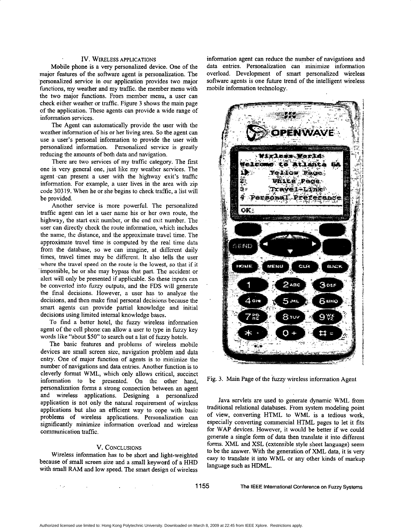# Iv. **WIRELESS APPLICATIONS**

Mobile phone is a very personalized device. One of the major features of the software agent is personalization. The personalized service in our application provides two major functions, my weather and my traffic. the member menu with the two major functions. From member menu, a user can check either weather or traffic. Figure *3* shows the main page of the application. These agents can provide a wide range of information services.

The Agent can automatically provide the user with the weather information of his or her living area. So the agent can use a user's personal information to provide the user with personalized information. Personalized service is greatly reducing the amounts of both data and navigation.

There are two services of my traffic category. The first one is very general one, just like my weather services. The agent can present a user with the highway exit's traffic information. For example, a user lives in the area with zip code **30319.** When he or she begins to check traffic, a list will be provided.

Another service is more powerful. The personalized traffic agent can let a user name his or her own route, the highway, the start exit number, or the end exit number. The user can directly check the route information, which includes the name, the distance, and the approximate travel time. The approximate travel time is computed by the real time data from the database, *so* we can imagine, at different daily times, travel times may be different. It also tells the user where the travel speed on the **route is the** lowest, *so* that **if** it impossible, he or she may bypass that part. The accident or alert will only be presented if applicable. So these inputs can be converted into fuzzy outputs, and the FDS will generate the final decisions. However, a user has to analyze the decisions, and then make final personal decisions because the smart agents can provide partial knowledge and initial decisions using limited internal knowledge bases.

To find a better hotel, the fuzzy wireless information agent of the cell phone can allow a user to type in fuzzy key words like "about *\$50"* to search out a list of fuzzy hotels.

The basic features and problems of wireless mobile devices are small screen size, navigation problem and data entry. One of major function of agents is to minimize the number of navigations and data entries. Another function is to cleverly format WML, which only allows critical, succinct information to he presented. **On** the other hand, personalization forms a strong connection between an agent and wireless applications. Designing a personalized application is not only the natural requirement of wireless applications but also an efficient way to cope with basic problems of wireless applications. Personalization can significantly minimize information overload and wireless communication traffic.

## **V. CONCLUSIONS**

Wireless information has to be short and light-weighted because of small screen size and a small keyword of a HHD with small RAM and low speed. The smart design of wireless information agent can reduce the number of navigations and data entries. Personalization can minimize information overload. Development of smart personalized wireless software agents is one future trend of the intelligent wireless mobile information technology.

**Wizless World** e të Atlanta tie 1 maa Tolios Pacie **Unite Page** 氢 Travel-Links 4 PersonsI. Prefecenc **OK:** SEND **CHIE NATE Set 1** sia har ta વેરુકા A are 6 um

Fig. *3.* Main Page of the fuzzy wireless information Agent

Java servlets are used to generate dynamic WML from traditional relational databases. From system modeling point of view, converting HTML to WML is a tedious work, especially converting commercial HTML pages to let it fits for WAP devices. However, it would be better if we could generate a single form of data then translate it into different forms. XML and XSL (extensible style sheet language) seem to he the answer. With the generation of XML data, it is very easy to translate it into WML or any other kinds of markup language such as HDML.

1155 The **IEEE** International Conference on **Fuzzy Systems**